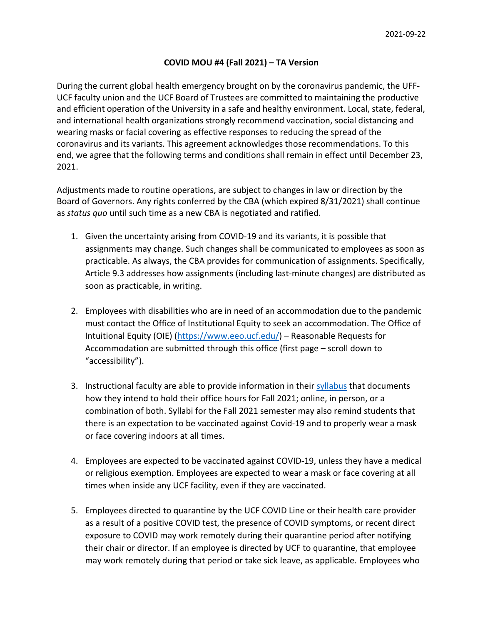## **COVID MOU #4 (Fall 2021) – TA Version**

During the current global health emergency brought on by the coronavirus pandemic, the UFF-UCF faculty union and the UCF Board of Trustees are committed to maintaining the productive and efficient operation of the University in a safe and healthy environment. Local, state, federal, and international health organizations strongly recommend vaccination, social distancing and wearing masks or facial covering as effective responses to reducing the spread of the coronavirus and its variants. This agreement acknowledges those recommendations. To this end, we agree that the following terms and conditions shall remain in effect until December 23, 2021.

Adjustments made to routine operations, are subject to changes in law or direction by the Board of Governors. Any rights conferred by the CBA (which expired 8/31/2021) shall continue as *status quo* until such time as a new CBA is negotiated and ratified.

- 1. Given the uncertainty arising from COVID-19 and its variants, it is possible that assignments may change. Such changes shall be communicated to employees as soon as practicable. As always, the CBA provides for communication of assignments. Specifically, Article 9.3 addresses how assignments (including last-minute changes) are distributed as soon as practicable, in writing.
- 2. Employees with disabilities who are in need of an accommodation due to the pandemic must contact the Office of Institutional Equity to seek an accommodation. The Office of Intuitional Equity (OIE) [\(https://www.eeo.ucf.edu/\)](https://www.eeo.ucf.edu/) – Reasonable Requests for Accommodation are submitted through this office (first page – scroll down to "accessibility").
- 3. Instructional faculty are able to provide information in their [syllabus](https://policies.ucf.edu/documents/4-403.pdf) that documents how they intend to hold their office hours for Fall 2021; online, in person, or a combination of both. Syllabi for the Fall 2021 semester may also remind students that there is an expectation to be vaccinated against Covid-19 and to properly wear a mask or face covering indoors at all times.
- 4. Employees are expected to be vaccinated against COVID-19, unless they have a medical or religious exemption. Employees are expected to wear a mask or face covering at all times when inside any UCF facility, even if they are vaccinated.
- 5. Employees directed to quarantine by the UCF COVID Line or their health care provider as a result of a positive COVID test, the presence of COVID symptoms, or recent direct exposure to COVID may work remotely during their quarantine period after notifying their chair or director. If an employee is directed by UCF to quarantine, that employee may work remotely during that period or take sick leave, as applicable. Employees who